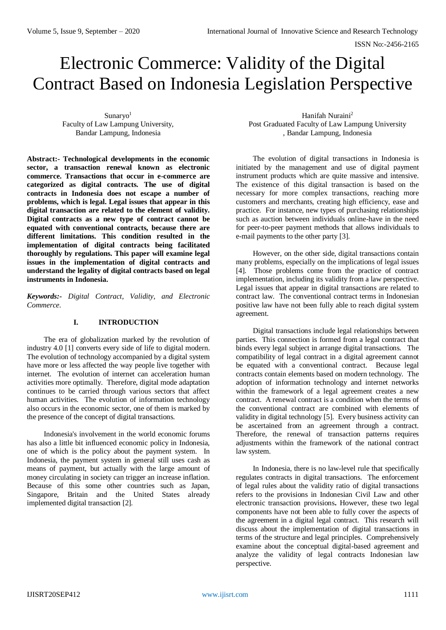# Electronic Commerce: Validity of the Digital Contract Based on Indonesia Legislation Perspective

Sunaryo $1$ Faculty of Law Lampung University, Bandar Lampung, Indonesia

**Abstract:- Technological developments in the economic sector, a transaction renewal known as electronic commerce. Transactions that occur in e-commerce are categorized as digital contracts. The use of digital contracts in Indonesia does not escape a number of problems, which is legal. Legal issues that appear in this digital transaction are related to the element of validity. Digital contracts as a new type of contract cannot be equated with conventional contracts, because there are different limitations. This condition resulted in the implementation of digital contracts being facilitated thoroughly by regulations. This paper will examine legal issues in the implementation of digital contracts and understand the legality of digital contracts based on legal instruments in Indonesia.**

*Keywords:- Digital Contract, Validity, and Electronic Commerce.*

## **I. INTRODUCTION**

The era of globalization marked by the revolution of industry 4.0 [1] converts every side of life to digital modern. The evolution of technology accompanied by a digital system have more or less affected the way people live together with internet. The evolution of internet can acceleration human activities more optimally. Therefore, digital mode adaptation continues to be carried through various sectors that affect human activities. The evolution of information technology also occurs in the economic sector, one of them is marked by the presence of the concept of digital transactions.

Indonesia's involvement in the world economic forums has also a little bit influenced economic policy in Indonesia, one of which is the policy about the payment system. In Indonesia, the payment system in general still uses cash as means of payment, but actually with the large amount of money circulating in society can trigger an increase inflation. Because of this some other countries such as Japan, Singapore, Britain and the United States already implemented digital transaction [2].

Hanifah Nuraini<sup>2</sup> Post Graduated Faculty of Law Lampung University , Bandar Lampung, Indonesia

The evolution of digital transactions in Indonesia is initiated by the management and use of digital payment instrument products which are quite massive and intensive. The existence of this digital transaction is based on the necessary for more complex transactions, reaching more customers and merchants, creating high efficiency, ease and practice. For instance, new types of purchasing relationships such as auction between individuals online-have in the need for peer-to-peer payment methods that allows individuals to e-mail payments to the other party [3].

However, on the other side, digital transactions contain many problems, especially on the implications of legal issues [4]. Those problems come from the practice of contract implementation, including its validity from a law perspective. Legal issues that appear in digital transactions are related to contract law. The conventional contract terms in Indonesian positive law have not been fully able to reach digital system agreement.

Digital transactions include legal relationships between parties. This connection is formed from a legal contract that binds every legal subject in arrange digital transactions. The compatibility of legal contract in a digital agreement cannot be equated with a conventional contract. Because legal contracts contain elements based on modern technology. The adoption of information technology and internet networks within the framework of a legal agreement creates a new contract. A renewal contract is a condition when the terms of the conventional contract are combined with elements of validity in digital technology [5]. Every business activity can be ascertained from an agreement through a contract. Therefore, the renewal of transaction patterns requires adjustments within the framework of the national contract law system.

In Indonesia, there is no law-level rule that specifically regulates contracts in digital transactions. The enforcement of legal rules about the validity ratio of digital transactions refers to the provisions in Indonesian Civil Law and other electronic transaction provisions**.** However, these two legal components have not been able to fully cover the aspects of the agreement in a digital legal contract. This research will discuss about the implementation of digital transactions in terms of the structure and legal principles. Comprehensively examine about the conceptual digital-based agreement and analyze the validity of legal contracts Indonesian law perspective.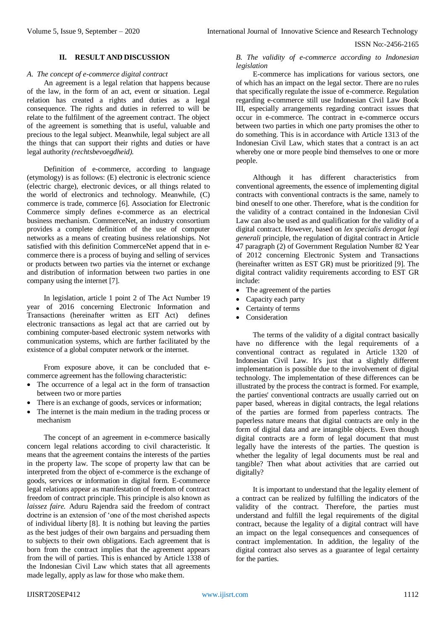#### **II. RESULT AND DISCUSSION**

## *A. The concept of e-commerce digital contract*

An agreement is a legal relation that happens because of the law, in the form of an act, event or situation. Legal relation has created a rights and duties as a legal consequence. The rights and duties in referred to will be relate to the fulfilment of the agreement contract. The object of the agreement is something that is useful, valuable and precious to the legal subject. Meanwhile, legal subject are all the things that can support their rights and duties or have legal authority *(rechtsbevoegdheid).*

Definition of e-commerce, according to language (etymology) is as follows: (E) electronic is electronic science (electric charge), electronic devices, or all things related to the world of electronics and technology. Meanwhile, (C) commerce is trade, commerce [6]. Association for Electronic Commerce simply defines e-commerce as an electrical business mechanism. CommerceNet, an industry consortium provides a complete definition of the use of computer networks as a means of creating business relationships. Not satisfied with this definition CommerceNet append that in ecommerce there is a process of buying and selling of services or products between two parties via the internet or exchange and distribution of information between two parties in one company using the internet [7].

In legislation, article 1 point 2 of The Act Number 19 year of 2016 concerning Electronic Information and Transactions (hereinafter written as EIT Act) defines electronic transactions as legal act that are carried out by combining computer-based electronic system networks with communication systems, which are further facilitated by the existence of a global computer network or the internet.

From exposure above, it can be concluded that ecommerce agreement has the following characteristic:

- The occurrence of a legal act in the form of transaction between two or more parties
- There is an exchange of goods, services or information;
- The internet is the main medium in the trading process or mechanism

The concept of an agreement in e-commerce basically concern legal relations according to civil characteristic. It means that the agreement contains the interests of the parties in the property law. The scope of property law that can be interpreted from the object of e-commerce is the exchange of goods, services or information in digital form. E-commerce legal relations appear as manifestation of freedom of contract freedom of contract principle. This principle is also known as *laissez faire.* Aduru Rajendra said the freedom of contract doctrine is an extension of 'one of the most cherished aspects of individual liberty [8]. It is nothing but leaving the parties as the best judges of their own bargains and persuading them to subjects to their own obligations. Each agreement that is born from the contract implies that the agreement appears from the will of parties. This is enhanced by Article 1338 of the Indonesian Civil Law which states that all agreements made legally, apply as law for those who make them.

*B. The validity of e-commerce according to Indonesian legislation*

E-commerce has implications for various sectors, one of which has an impact on the legal sector. There are no rules that specifically regulate the issue of e-commerce. Regulation regarding e-commerce still use Indonesian Civil Law Book III, especially arrangements regarding contract issues that occur in e-commerce. The contract in e-commerce occurs between two parties in which one party promises the other to do something. This is in accordance with Article 1313 of the Indonesian Civil Law, which states that a contract is an act whereby one or more people bind themselves to one or more people.

Although it has different characteristics from conventional agreements, the essence of implementing digital contracts with conventional contracts is the same, namely to bind oneself to one other. Therefore, what is the condition for the validity of a contract contained in the Indonesian Civil Law can also be used as and qualification for the validity of a digital contract. However, based on *lex specialis derogat legi generali* principle, the regulation of digital contract in Article 47 paragraph (2) of Government Regulation Number 82 Year of 2012 concerning Electronic System and Transactions (hereinafter written as EST GR) must be prioritized [9]. The digital contract validity requirements according to EST GR include:

- The agreement of the parties
- Capacity each party
- Certainty of terms
- Consideration

The terms of the validity of a digital contract basically have no difference with the legal requirements of a conventional contract as regulated in Article 1320 of Indonesian Civil Law. It's just that a slightly different implementation is possible due to the involvement of digital technology. The implementation of these differences can be illustrated by the process the contract is formed. For example, the parties' conventional contracts are usually carried out on paper based, whereas in digital contracts, the legal relations of the parties are formed from paperless contracts. The paperless nature means that digital contracts are only in the form of digital data and are intangible objects. Even though digital contracts are a form of legal document that must legally have the interests of the parties. The question is whether the legality of legal documents must be real and tangible? Then what about activities that are carried out digitally?

It is important to understand that the legality element of a contract can be realized by fulfilling the indicators of the validity of the contract. Therefore, the parties must understand and fulfill the legal requirements of the digital contract, because the legality of a digital contract will have an impact on the legal consequences and consequences of contract implementation. In addition, the legality of the digital contract also serves as a guarantee of legal certainty for the parties.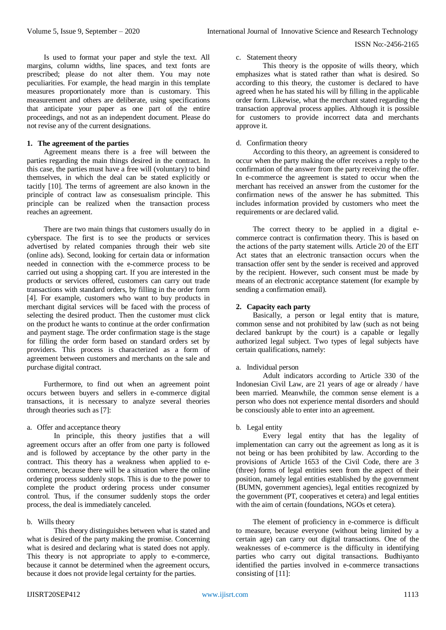Is used to format your paper and style the text. All margins, column widths, line spaces, and text fonts are prescribed; please do not alter them. You may note peculiarities. For example, the head margin in this template measures proportionately more than is customary. This measurement and others are deliberate, using specifications that anticipate your paper as one part of the entire proceedings, and not as an independent document. Please do not revise any of the current designations.

## **1. The agreement of the parties**

Agreement means there is a free will between the parties regarding the main things desired in the contract. In this case, the parties must have a free will (voluntary) to bind themselves, in which the deal can be stated explicitly or tacitly [10]. The terms of agreement are also known in the principle of contract law as consesualism principle. This principle can be realized when the transaction process reaches an agreement.

There are two main things that customers usually do in cyberspace. The first is to see the products or services advertised by related companies through their web site (online ads). Second, looking for certain data or information needed in connection with the e-commerce process to be carried out using a shopping cart. If you are interested in the products or services offered, customers can carry out trade transactions with standard orders, by filling in the order form [4]. For example, customers who want to buy products in merchant digital services will be faced with the process of selecting the desired product. Then the customer must click on the product he wants to continue at the order confirmation and payment stage. The order confirmation stage is the stage for filling the order form based on standard orders set by providers. This process is characterized as a form of agreement between customers and merchants on the sale and purchase digital contract.

Furthermore, to find out when an agreement point occurs between buyers and sellers in e-commerce digital transactions, it is necessary to analyze several theories through theories such as [7]:

### a. Offer and acceptance theory

In principle, this theory justifies that a will agreement occurs after an offer from one party is followed and is followed by acceptance by the other party in the contract. This theory has a weakness when applied to ecommerce, because there will be a situation where the online ordering process suddenly stops. This is due to the power to complete the product ordering process under consumer control. Thus, if the consumer suddenly stops the order process, the deal is immediately canceled.

### b. Wills theory

This theory distinguishes between what is stated and what is desired of the party making the promise. Concerning what is desired and declaring what is stated does not apply. This theory is not appropriate to apply to e-commerce, because it cannot be determined when the agreement occurs, because it does not provide legal certainty for the parties.

# c. Statement theory

This theory is the opposite of wills theory, which emphasizes what is stated rather than what is desired. So according to this theory, the customer is declared to have agreed when he has stated his will by filling in the applicable order form. Likewise, what the merchant stated regarding the transaction approval process applies. Although it is possible for customers to provide incorrect data and merchants approve it.

## d. Confirmation theory

According to this theory, an agreement is considered to occur when the party making the offer receives a reply to the confirmation of the answer from the party receiving the offer. In e-commerce the agreement is stated to occur when the merchant has received an answer from the customer for the confirmation news of the answer he has submitted. This includes information provided by customers who meet the requirements or are declared valid.

The correct theory to be applied in a digital ecommerce contract is confirmation theory. This is based on the actions of the party statement wills. Article 20 of the EIT Act states that an electronic transaction occurs when the transaction offer sent by the sender is received and approved by the recipient. However, such consent must be made by means of an electronic acceptance statement (for example by sending a confirmation email).

# **2. Capacity each party**

Basically, a person or legal entity that is mature, common sense and not prohibited by law (such as not being declared bankrupt by the court) is a capable or legally authorized legal subject. Two types of legal subjects have certain qualifications, namely:

### a. Individual person

Adult indicators according to Article 330 of the Indonesian Civil Law, are 21 years of age or already / have been married. Meanwhile, the common sense element is a person who does not experience mental disorders and should be consciously able to enter into an agreement.

### b. Legal entity

Every legal entity that has the legality of implementation can carry out the agreement as long as it is not being or has been prohibited by law. According to the provisions of Article 1653 of the Civil Code, there are 3 (three) forms of legal entities seen from the aspect of their position, namely legal entities established by the government (BUMN, government agencies), legal entities recognized by the government (PT, cooperatives et cetera) and legal entities with the aim of certain (foundations, NGOs et cetera).

The element of proficiency in e-commerce is difficult to measure, because everyone (without being limited by a certain age) can carry out digital transactions. One of the weaknesses of e-commerce is the difficulty in identifying parties who carry out digital transactions. Budhiyanto identified the parties involved in e-commerce transactions consisting of [11]: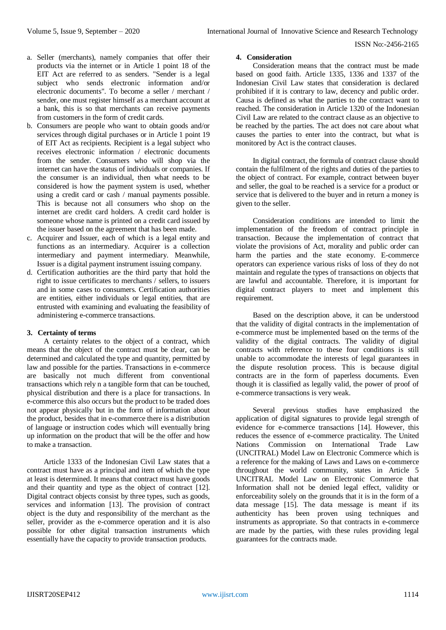- a. Seller (merchants), namely companies that offer their products via the internet or in Article 1 point 18 of the EIT Act are referred to as senders. "Sender is a legal subject who sends electronic information and/or electronic documents". To become a seller / merchant / sender, one must register himself as a merchant account at a bank, this is so that merchants can receive payments from customers in the form of credit cards.
- b. Consumers are people who want to obtain goods and/or services through digital purchases or in Article 1 point 19 of EIT Act as recipients. Recipient is a legal subject who receives electronic information / electronic documents from the sender. Consumers who will shop via the internet can have the status of individuals or companies. If the consumer is an individual, then what needs to be considered is how the payment system is used, whether using a credit card or cash / manual payments possible. This is because not all consumers who shop on the internet are credit card holders. A credit card holder is someone whose name is printed on a credit card issued by the issuer based on the agreement that has been made.
- c. Acquirer and Issuer, each of which is a legal entity and functions as an intermediary. Acquirer is a collection intermediary and payment intermediary. Meanwhile, Issuer is a digital payment instrument issuing company.
- d. Certification authorities are the third party that hold the right to issue certificates to merchants / sellers, to issuers and in some cases to consumers. Certification authorities are entities, either individuals or legal entities, that are entrusted with examining and evaluating the feasibility of administering e-commerce transactions.

## **3. Certainty of terms**

A certainty relates to the object of a contract, which means that the object of the contract must be clear, can be determined and calculated the type and quantity, permitted by law and possible for the parties. Transactions in e-commerce are basically not much different from conventional transactions which rely n a tangible form that can be touched, physical distribution and there is a place for transactions. In e-commerce this also occurs but the product to be traded does not appear physically but in the form of information about the product, besides that in e-commerce there is a distribution of language or instruction codes which will eventually bring up information on the product that will be the offer and how to make a transaction.

Article 1333 of the Indonesian Civil Law states that a contract must have as a principal and item of which the type at least is determined. It means that contract must have goods and their quantity and type as the object of contract [12]. Digital contract objects consist by three types, such as goods, services and information [13]. The provision of contract object is the duty and responsibility of the merchant as the seller, provider as the e-commerce operation and it is also possible for other digital transaction instruments which essentially have the capacity to provide transaction products.

## **4. Consideration**

Consideration means that the contract must be made based on good faith. Article 1335, 1336 and 1337 of the Indonesian Civil Law states that consideration is declared prohibited if it is contrary to law, decency and public order. Causa is defined as what the parties to the contract want to reached. The consideration in Article 1320 of the Indonesian Civil Law are related to the contract clause as an objective to be reached by the parties. The act does not care about what causes the parties to enter into the contract, but what is monitored by Act is the contract clauses.

In digital contract, the formula of contract clause should contain the fulfilment of the rights and duties of the parties to the object of contract. For example, contract between buyer and seller, the goal to be reached is a service for a product or service that is delivered to the buyer and in return a money is given to the seller.

Consideration conditions are intended to limit the implementation of the freedom of contract principle in transaction. Because the implementation of contract that violate the provisions of Act, morality and public order can harm the parties and the state economy. E-commerce operators can experience various risks of loss of they do not maintain and regulate the types of transactions on objects that are lawful and accountable. Therefore, it is important for digital contract players to meet and implement this requirement.

Based on the description above, it can be understood that the validity of digital contracts in the implementation of e-commerce must be implemented based on the terms of the validity of the digital contracts. The validity of digital contracts with reference to these four conditions is still unable to accommodate the interests of legal guarantees in the dispute resolution process. This is because digital contracts are in the form of paperless documents. Even though it is classified as legally valid, the power of proof of e-commerce transactions is very weak.

Several previous studies have emphasized the application of digital signatures to provide legal strength of evidence for e-commerce transactions [14]. However, this reduces the essence of e-commerce practicality. The United Nations Commission on International Trade Law (UNCITRAL) Model Law on Electronic Commerce which is a reference for the making of Laws and Laws on e-commerce throughout the world community, states in Article 5 UNCITRAL Model Law on Electronic Commerce that Information shall not be denied legal effect, validity or enforceability solely on the grounds that it is in the form of a data message [15]. The data message is meant if its authenticity has been proven using techniques and instruments as appropriate. So that contracts in e-commerce are made by the parties, with these rules providing legal guarantees for the contracts made.